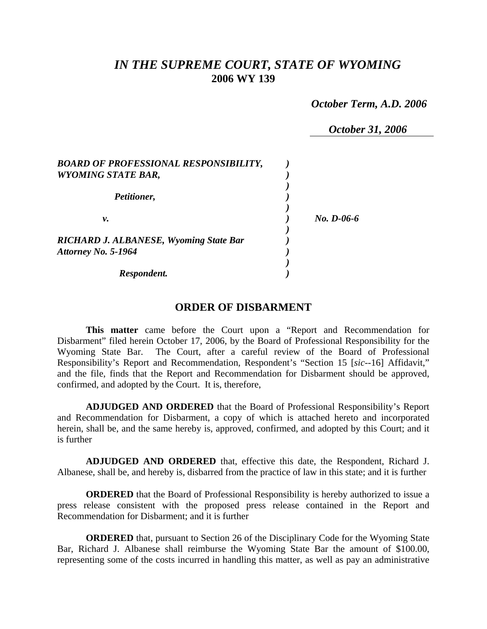## *IN THE SUPREME COURT, STATE OF WYOMING*  **2006 WY 139**

 *October Term, A.D. 2006* 

 *October 31, 2006* 

| <b>BOARD OF PROFESSIONAL RESPONSIBILITY,</b><br><b>WYOMING STATE BAR,</b> |              |
|---------------------------------------------------------------------------|--------------|
| Petitioner,                                                               |              |
| ν.                                                                        | $No. D-06-6$ |
| <b>RICHARD J. ALBANESE, Wyoming State Bar</b>                             |              |
| Attorney No. 5-1964<br>Respondent.                                        |              |

## **ORDER OF DISBARMENT**

**This matter** came before the Court upon a "Report and Recommendation for Disbarment" filed herein October 17, 2006, by the Board of Professional Responsibility for the Wyoming State Bar. The Court, after a careful review of the Board of Professional Responsibility's Report and Recommendation, Respondent's "Section 15 [*sic*--16] Affidavit," and the file, finds that the Report and Recommendation for Disbarment should be approved, confirmed, and adopted by the Court. It is, therefore,

**ADJUDGED AND ORDERED** that the Board of Professional Responsibility's Report and Recommendation for Disbarment, a copy of which is attached hereto and incorporated herein, shall be, and the same hereby is, approved, confirmed, and adopted by this Court; and it is further

**ADJUDGED AND ORDERED** that, effective this date, the Respondent, Richard J. Albanese, shall be, and hereby is, disbarred from the practice of law in this state; and it is further

**ORDERED** that the Board of Professional Responsibility is hereby authorized to issue a press release consistent with the proposed press release contained in the Report and Recommendation for Disbarment; and it is further

**ORDERED** that, pursuant to Section 26 of the Disciplinary Code for the Wyoming State Bar, Richard J. Albanese shall reimburse the Wyoming State Bar the amount of \$100.00, representing some of the costs incurred in handling this matter, as well as pay an administrative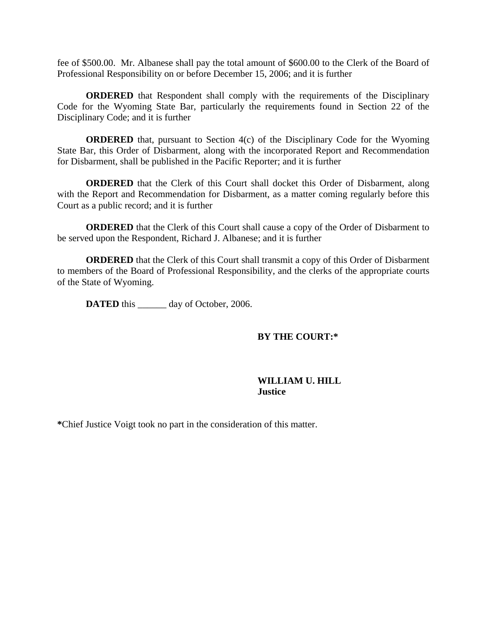fee of \$500.00. Mr. Albanese shall pay the total amount of \$600.00 to the Clerk of the Board of Professional Responsibility on or before December 15, 2006; and it is further

**ORDERED** that Respondent shall comply with the requirements of the Disciplinary Code for the Wyoming State Bar, particularly the requirements found in Section 22 of the Disciplinary Code; and it is further

**ORDERED** that, pursuant to Section 4(c) of the Disciplinary Code for the Wyoming State Bar, this Order of Disbarment, along with the incorporated Report and Recommendation for Disbarment, shall be published in the Pacific Reporter; and it is further

**ORDERED** that the Clerk of this Court shall docket this Order of Disbarment, along with the Report and Recommendation for Disbarment, as a matter coming regularly before this Court as a public record; and it is further

**ORDERED** that the Clerk of this Court shall cause a copy of the Order of Disbarment to be served upon the Respondent, Richard J. Albanese; and it is further

**ORDERED** that the Clerk of this Court shall transmit a copy of this Order of Disbarment to members of the Board of Professional Responsibility, and the clerks of the appropriate courts of the State of Wyoming.

**DATED** this \_\_\_\_\_\_ day of October, 2006.

## **BY THE COURT:\***

## **WILLIAM U. HILL Justice**

**\***Chief Justice Voigt took no part in the consideration of this matter.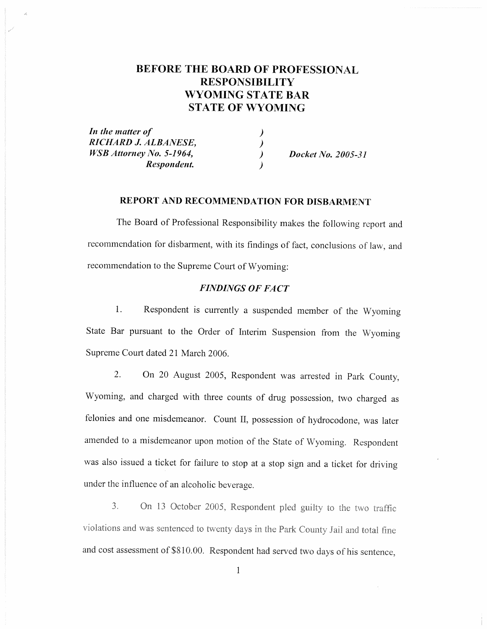# **BEFORE THE BOARD OF PROFESSIONAL RESPONSIBILITY WYOMING STATE BAR STATE OF WYOMING**

In the matter of RICHARD J. ALBANESE, **WSB** Attorney No. 5-1964, Respondent.

 $\lambda$  $\lambda$ 

Docket No. 2005-31

#### **REPORT AND RECOMMENDATION FOR DISBARMENT**

The Board of Professional Responsibility makes the following report and recommendation for disbarment, with its findings of fact, conclusions of law, and recommendation to the Supreme Court of Wyoming:

### **FINDINGS OF FACT**

Respondent is currently a suspended member of the Wyoming 1. State Bar pursuant to the Order of Interim Suspension from the Wyoming Supreme Court dated 21 March 2006.

On 20 August 2005, Respondent was arrested in Park County, 2. Wyoming, and charged with three counts of drug possession, two charged as felonies and one misdemeanor. Count II, possession of hydrocodone, was later amended to a misdemeanor upon motion of the State of Wyoming. Respondent was also issued a ticket for failure to stop at a stop sign and a ticket for driving under the influence of an alcoholic beverage.

On 13 October 2005, Respondent pled guilty to the two traffic  $3<sub>1</sub>$ violations and was sentenced to twenty days in the Park County Jail and total fine and cost assessment of \$810.00. Respondent had served two days of his sentence,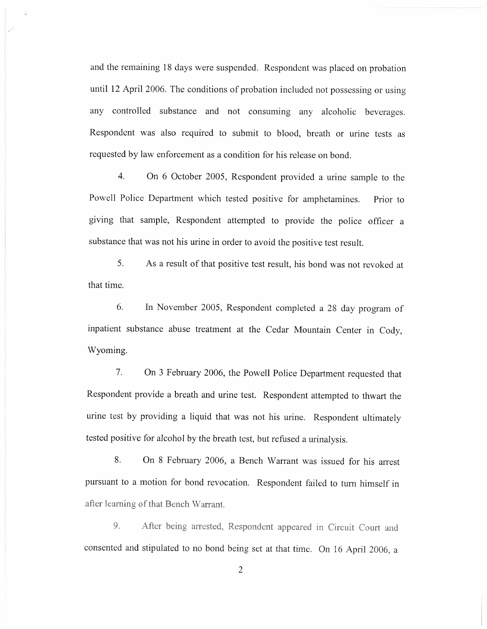and the remaining 18 days were suspended. Respondent was placed on probation until 12 April 2006. The conditions of probation included not possessing or using any controlled substance and not consuming any alcoholic beverages. Respondent was also required to submit to blood, breath or urine tests as requested by law enforcement as a condition for his release on bond.

 $\overline{4}$ . On 6 October 2005, Respondent provided a urine sample to the Powell Police Department which tested positive for amphetamines. Prior to giving that sample, Respondent attempted to provide the police officer a substance that was not his urine in order to avoid the positive test result.

5. As a result of that positive test result, his bond was not revoked at that time.

In November 2005, Respondent completed a 28 day program of 6. inpatient substance abuse treatment at the Cedar Mountain Center in Cody, Wyoming.

 $7.$ On 3 February 2006, the Powell Police Department requested that Respondent provide a breath and urine test. Respondent attempted to thwart the urine test by providing a liquid that was not his urine. Respondent ultimately tested positive for alcohol by the breath test, but refused a urinalysis.

8. On 8 February 2006, a Bench Warrant was issued for his arrest pursuant to a motion for bond revocation. Respondent failed to turn himself in after learning of that Bench Warrant.

After being arrested, Respondent appeared in Circuit Court and 9. consented and stipulated to no bond being set at that time. On 16 April 2006, a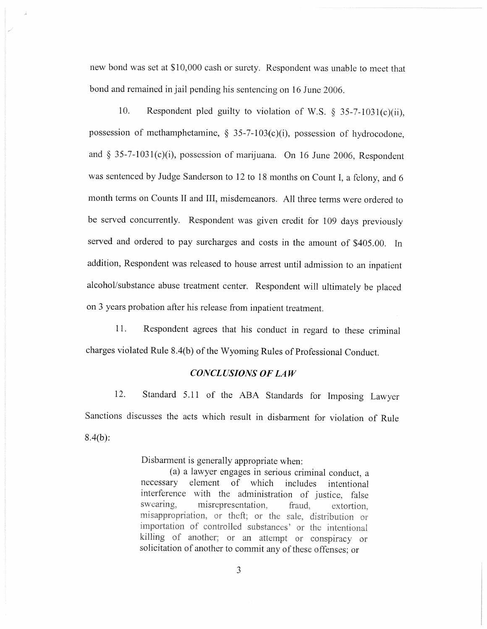new bond was set at \$10,000 cash or surety. Respondent was unable to meet that bond and remained in jail pending his sentencing on 16 June 2006.

10. Respondent pled guilty to violation of W.S. § 35-7-1031(c)(ii), possession of methamphetamine,  $\S$  35-7-103(c)(i), possession of hydrocodone, and § 35-7-1031(c)(i), possession of marijuana. On 16 June 2006, Respondent was sentenced by Judge Sanderson to 12 to 18 months on Count I, a felony, and 6 month terms on Counts II and III, misdemeanors. All three terms were ordered to be served concurrently. Respondent was given credit for 109 days previously served and ordered to pay surcharges and costs in the amount of \$405.00. In addition, Respondent was released to house arrest until admission to an inpatient alcohol/substance abuse treatment center. Respondent will ultimately be placed on 3 years probation after his release from inpatient treatment.

11. Respondent agrees that his conduct in regard to these criminal charges violated Rule 8.4(b) of the Wyoming Rules of Professional Conduct.

#### **CONCLUSIONS OF LAW**

12. Standard 5.11 of the ABA Standards for Imposing Lawyer Sanctions discusses the acts which result in disbarment for violation of Rule  $8.4(b)$ :

Disbarment is generally appropriate when:

(a) a lawyer engages in serious criminal conduct, a element of which necessary includes intentional interference with the administration of justice, false swearing. misrepresentation. fraud. extortion. misappropriation, or theft; or the sale, distribution or importation of controlled substances' or the intentional killing of another; or an attempt or conspiracy or solicitation of another to commit any of these offenses; or

3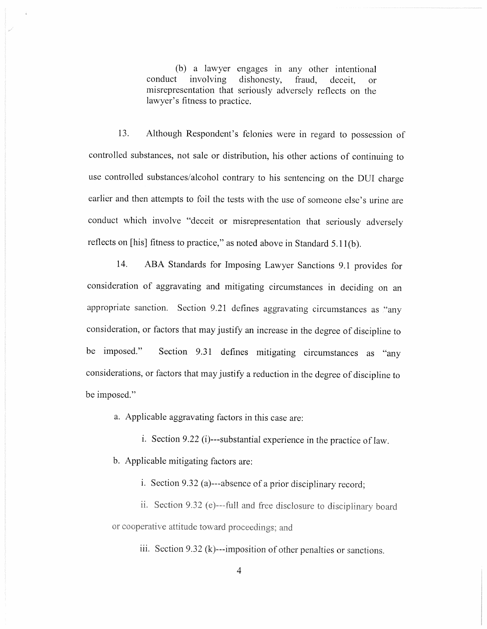(b) a lawyer engages in any other intentional involving dishonesty, conduct fraud. deceit. **or** misrepresentation that seriously adversely reflects on the lawyer's fitness to practice.

Although Respondent's felonies were in regard to possession of  $13.$ controlled substances, not sale or distribution, his other actions of continuing to use controlled substances/alcohol contrary to his sentencing on the DUI charge earlier and then attempts to foil the tests with the use of someone else's urine are conduct which involve "deceit or misrepresentation that seriously adversely reflects on [his] fitness to practice," as noted above in Standard 5.11(b).

 $14.$ ABA Standards for Imposing Lawyer Sanctions 9.1 provides for consideration of aggravating and mitigating circumstances in deciding on an appropriate sanction. Section 9.21 defines aggravating circumstances as "any consideration, or factors that may justify an increase in the degree of discipline to Section 9.31 defines mitigating circumstances as "any be imposed." considerations, or factors that may justify a reduction in the degree of discipline to be imposed."

a. Applicable aggravating factors in this case are:

i. Section 9.22 (i)---substantial experience in the practice of law.

b. Applicable mitigating factors are:

i. Section 9.32 (a)---absence of a prior disciplinary record;

ii. Section 9.32 (e)---full and free disclosure to disciplinary board or cooperative attitude toward proceedings; and

iii. Section 9.32 (k)---imposition of other penalties or sanctions.

4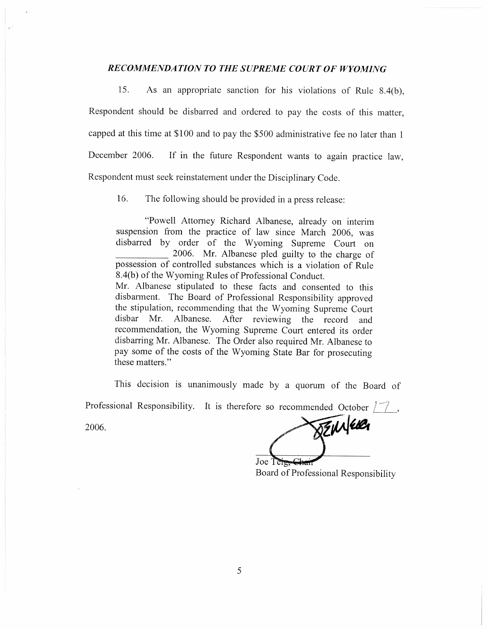## RECOMMENDATION TO THE SUPREME COURT OF WYOMING

15. As an appropriate sanction for his violations of Rule 8.4(b), Respondent should be disbarred and ordered to pay the costs of this matter, capped at this time at \$100 and to pay the \$500 administrative fee no later than 1 December 2006. If in the future Respondent wants to again practice law, Respondent must seek reinstatement under the Disciplinary Code.

16. The following should be provided in a press release:

"Powell Attorney Richard Albanese, already on interim suspension from the practice of law since March 2006, was disbarred by order of the Wyoming Supreme Court on 2006. Mr. Albanese pled guilty to the charge of possession of controlled substances which is a violation of Rule 8.4(b) of the Wyoming Rules of Professional Conduct. Mr. Albanese stipulated to these facts and consented to this disbarment. The Board of Professional Responsibility approved the stipulation, recommending that the Wyoming Supreme Court After reviewing the record and disbar Mr. Albanese. recommendation, the Wyoming Supreme Court entered its order disbarring Mr. Albanese. The Order also required Mr. Albanese to pay some of the costs of the Wyoming State Bar for prosecuting these matters."

This decision is unanimously made by a quorum of the Board of

Professional Responsibility. It is therefore so recommended October  $\sqrt{\phantom{a}}$ ,

2006.

**SENNERR** 

Joe Tere Board of Professional Responsibility